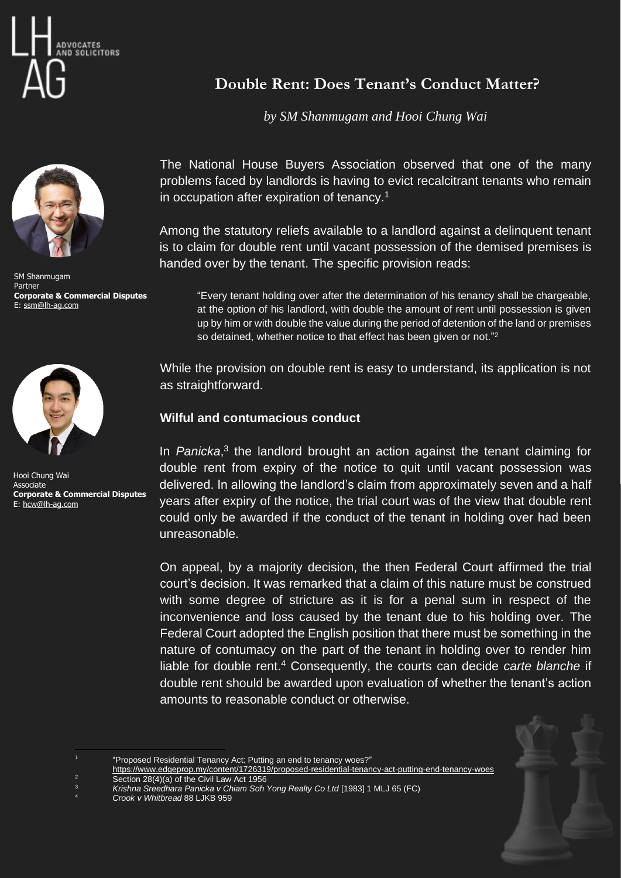



SM Shanmugam Partner **Corporate & Commercial Disputes** E[: ssm@lh-ag.com](mailto:ssm@lh-ag.com)



Hooi Chung Wai Associate **Corporate & Commercial Disputes** E: [hcw@lh-ag.com](mailto:hcw@lh-ag.com)

## **Double Rent: Does Tenant's Conduct Matter?**

*by SM Shanmugam and Hooi Chung Wai*

The National House Buyers Association observed that one of the many problems faced by landlords is having to evict recalcitrant tenants who remain in occupation after expiration of tenancy.<sup>1</sup>

Among the statutory reliefs available to a landlord against a delinquent tenant is to claim for double rent until vacant possession of the demised premises is handed over by the tenant. The specific provision reads:

"Every tenant holding over after the determination of his tenancy shall be chargeable, at the option of his landlord, with double the amount of rent until possession is given up by him or with double the value during the period of detention of the land or premises so detained, whether notice to that effect has been given or not."<sup>2</sup>

While the provision on double rent is easy to understand, its application is not as straightforward.

## **Wilful and contumacious conduct**

In Panicka,<sup>3</sup> the landlord brought an action against the tenant claiming for double rent from expiry of the notice to quit until vacant possession was delivered. In allowing the landlord's claim from approximately seven and a half years after expiry of the notice, the trial court was of the view that double rent could only be awarded if the conduct of the tenant in holding over had been unreasonable.

On appeal, by a majority decision, the then Federal Court affirmed the trial court's decision. It was remarked that a claim of this nature must be construed with some degree of stricture as it is for a penal sum in respect of the inconvenience and loss caused by the tenant due to his holding over. The Federal Court adopted the English position that there must be something in the nature of contumacy on the part of the tenant in holding over to render him liable for double rent. <sup>4</sup> Consequently, the courts can decide *carte blanche* if double rent should be awarded upon evaluation of whether the tenant's action amounts to reasonable conduct or otherwise.

<sup>&</sup>quot;Proposed Residential Tenancy Act: Putting an end to tenancy woes?"

<https://www.edgeprop.my/content/1726319/proposed-residential-tenancy-act-putting-end-tenancy-woes> <sup>2</sup> Section 28(4)(a) of the Civil Law Act 1956

<sup>3</sup> *Krishna Sreedhara Panicka v Chiam Soh Yong Realty Co Ltd* [1983] 1 MLJ 65 (FC)

<sup>4</sup> *Crook v Whitbread* 88 LJKB 959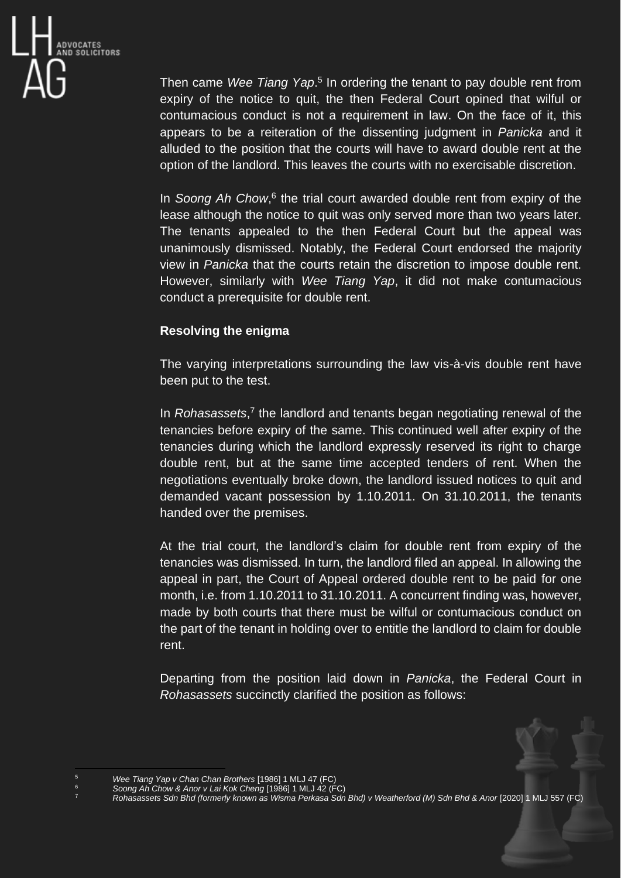

Then came Wee Tiang Yap.<sup>5</sup> In ordering the tenant to pay double rent from expiry of the notice to quit, the then Federal Court opined that wilful or contumacious conduct is not a requirement in law. On the face of it, this appears to be a reiteration of the dissenting judgment in *Panicka* and it alluded to the position that the courts will have to award double rent at the option of the landlord. This leaves the courts with no exercisable discretion.

In *Soong Ah Chow*,<sup>6</sup> the trial court awarded double rent from expiry of the lease although the notice to quit was only served more than two years later. The tenants appealed to the then Federal Court but the appeal was unanimously dismissed. Notably, the Federal Court endorsed the majority view in *Panicka* that the courts retain the discretion to impose double rent. However, similarly with *Wee Tiang Yap*, it did not make contumacious conduct a prerequisite for double rent.

## **Resolving the enigma**

The varying interpretations surrounding the law vis-à-vis double rent have been put to the test.

In *Rohasassets*,<sup>7</sup> the landlord and tenants began negotiating renewal of the tenancies before expiry of the same. This continued well after expiry of the tenancies during which the landlord expressly reserved its right to charge double rent, but at the same time accepted tenders of rent. When the negotiations eventually broke down, the landlord issued notices to quit and demanded vacant possession by 1.10.2011. On 31.10.2011, the tenants handed over the premises.

At the trial court, the landlord's claim for double rent from expiry of the tenancies was dismissed. In turn, the landlord filed an appeal. In allowing the appeal in part, the Court of Appeal ordered double rent to be paid for one month, i.e. from 1.10.2011 to 31.10.2011. A concurrent finding was, however, made by both courts that there must be wilful or contumacious conduct on the part of the tenant in holding over to entitle the landlord to claim for double rent.

Departing from the position laid down in *Panicka*, the Federal Court in *Rohasassets* succinctly clarified the position as follows:

<sup>5</sup> *Wee Tiang Yap v Chan Chan Brothers* [1986] 1 MLJ 47 (FC)

<sup>6</sup> *Soong Ah Chow & Anor v Lai Kok Cheng* [1986] 1 MLJ 42 (FC)

<sup>7</sup> *Rohasassets Sdn Bhd (formerly known as Wisma Perkasa Sdn Bhd) v Weatherford (M) Sdn Bhd & Anor* [2020] 1 MLJ 557 (FC)